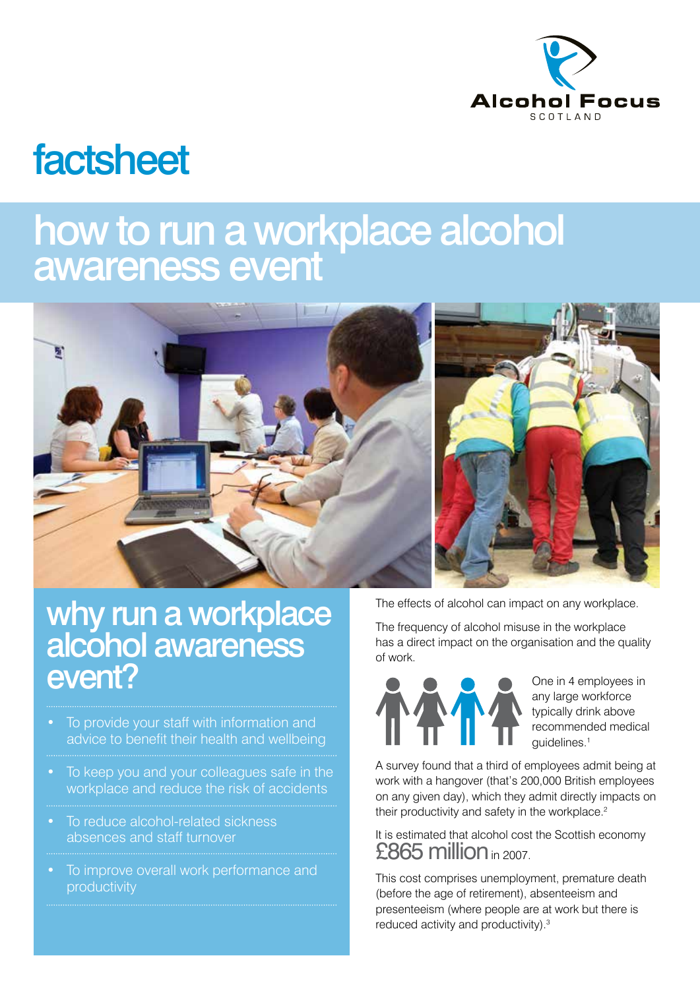

# factsheet

## how to run a workplace alcohol awareness event



### why run a workplace alcohol awareness event?

- To provide your staff with information and advice to benefit their health and wellbeing
- To keep you and your colleagues safe in the workplace and reduce the risk of accidents
- To reduce alcohol-related sickness absences and staff turnover
- To improve overall work performance and productivity

The effects of alcohol can impact on any workplace.

The frequency of alcohol misuse in the workplace has a direct impact on the organisation and the quality of work.



One in 4 employees in any large workforce typically drink above recommended medical guidelines.1

A survey found that a third of employees admit being at work with a hangover (that's 200,000 British employees on any given day), which they admit directly impacts on their productivity and safety in the workplace.<sup>2</sup>

#### It is estimated that alcohol cost the Scottish economy £865 million in 2007.

This cost comprises unemployment, premature death (before the age of retirement), absenteeism and presenteeism (where people are at work but there is reduced activity and productivity).<sup>3</sup>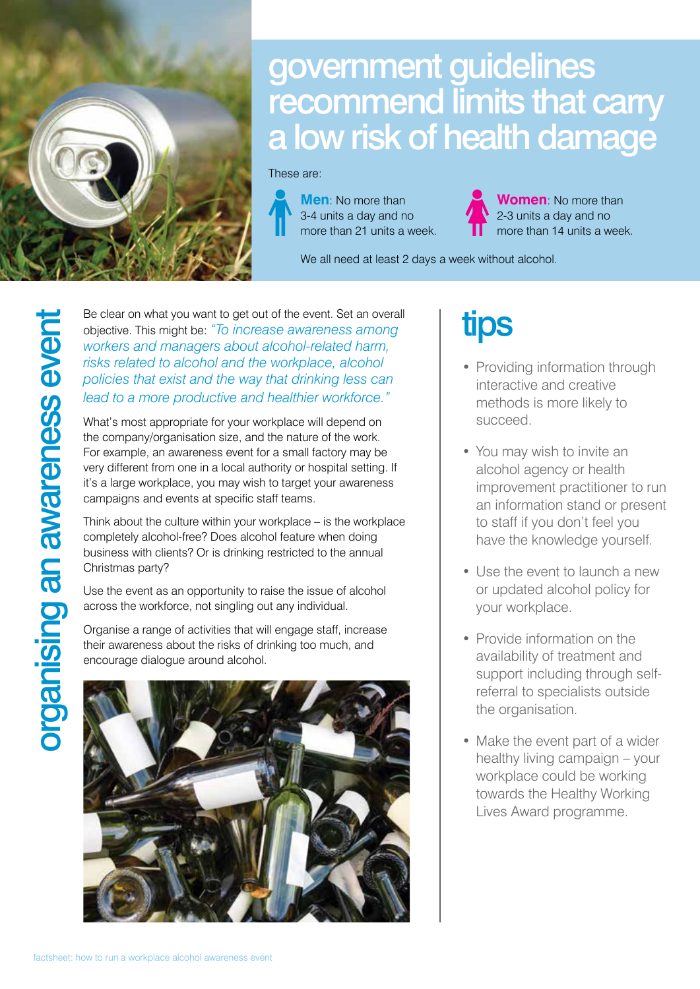

### government guidelines recommend limits that carry a low risk of health damage

These are:



**Men**: No more than 3-4 units a day and no more than 21 units a week.

**Women**: No more than 2-3 units a day and no more than 14 units a week.

We all need at least 2 days a week without alcohol.

Be clear on what you want to get out of the event. Set an overall<br>workers and managers about alcohol-related harm,<br>risks related to alcohol and the workplace, alcohol<br>policies that exist and the way that drinking less can<br> objective. This might be: *"To increase awareness among workers and managers about alcohol-related harm, risks related to alcohol and the workplace, alcohol policies that exist and the way that drinking less can lead to a more productive and healthier workforce."*

What's most appropriate for your workplace will depend on the company/organisation size, and the nature of the work. For example, an awareness event for a small factory may be very different from one in a local authority or hospital setting. If it's a large workplace, you may wish to target your awareness campaigns and events at specific staff teams.

Think about the culture within your workplace – is the workplace completely alcohol-free? Does alcohol feature when doing business with clients? Or is drinking restricted to the annual Christmas party?

Use the event as an opportunity to raise the issue of alcohol across the workforce, not singling out any individual.

Organise a range of activities that will engage staff, increase their awareness about the risks of drinking too much, and encourage dialogue around alcohol.



### tips

- Providing information through interactive and creative methods is more likely to succeed.
- You may wish to invite an alcohol agency or health improvement practitioner to run an information stand or present to staff if you don't feel you have the knowledge yourself.
- Use the event to launch a new or updated alcohol policy for your workplace.
- Provide information on the availability of treatment and support including through selfreferral to specialists outside the organisation.
- Make the event part of a wider healthy living campaign – your workplace could be working towards the Healthy Working Lives Award programme.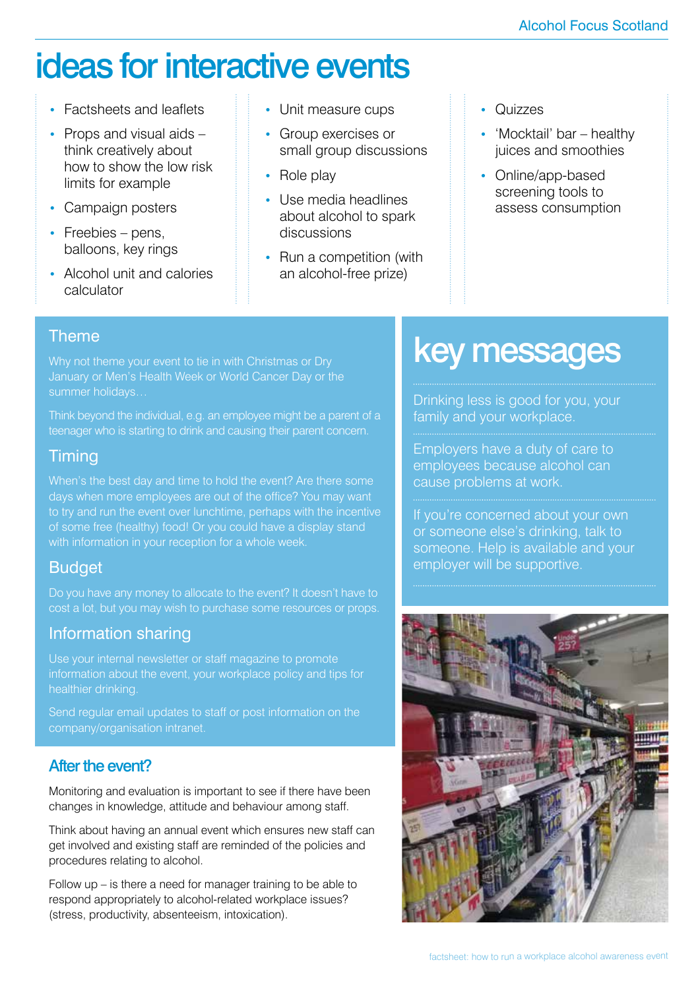### ideas for interactive events

- Factsheets and leaflets
- Props and visual aids think creatively about how to show the low risk limits for example
- Campaign posters
- Freebies pens, balloons, key rings
- Alcohol unit and calories calculator
- Unit measure cups
- Group exercises or small group discussions
- Role play
- Use media headlines about alcohol to spark discussions
- Run a competition (with an alcohol-free prize)
- Quizzes
- 'Mocktail' bar healthy juices and smoothies
- Online/app-based screening tools to assess consumption

#### **Theme**

Think beyond the individual, e.g. an employee might be a parent of a teenager who is starting to drink and causing their parent concern.

#### **Timing**

days when more employees are out of the office? You may want to try and run the event over lunchtime, perhaps with the incentive of some free (healthy) food! Or you could have a display stand with information in your reception for a whole week.

#### Budget

#### Information sharing

Use your internal newsletter or staff magazine to promote information about the event, your workplace policy and tips for healthier drinking.

Send regular email updates to staff or post information on the company/organisation intranet.

#### After the event?

Monitoring and evaluation is important to see if there have been changes in knowledge, attitude and behaviour among staff.

Think about having an annual event which ensures new staff can get involved and existing staff are reminded of the policies and procedures relating to alcohol.

Follow up – is there a need for manager training to be able to respond appropriately to alcohol-related workplace issues? (stress, productivity, absenteeism, intoxication).

### key messages

Drinking less is good for you, your family and your workplace.

Employers have a duty of care to employees because alcohol can cause problems at work.

If you're concerned about your own or someone else's drinking, talk to someone. Help is available and your employer will be supportive.